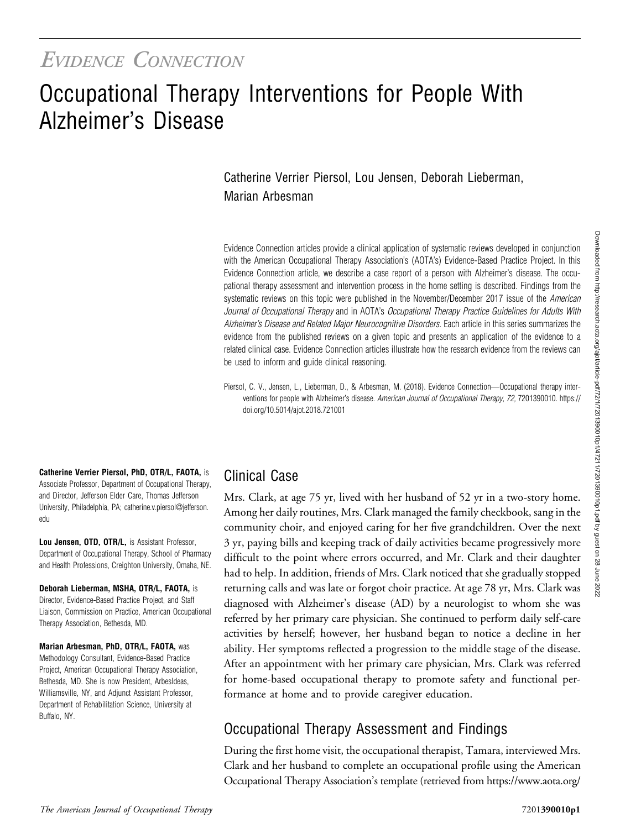## EVIDENCE CONNECTION

# Occupational Therapy Interventions for People With Alzheimer's Disease

#### Catherine Verrier Piersol, Lou Jensen, Deborah Lieberman, Marian Arbesman

Evidence Connection articles provide a clinical application of systematic reviews developed in conjunction with the American Occupational Therapy Association's (AOTA's) Evidence-Based Practice Project. In this Evidence Connection article, we describe a case report of a person with Alzheimer's disease. The occupational therapy assessment and intervention process in the home setting is described. Findings from the systematic reviews on this topic were published in the November/December 2017 issue of the American Journal of Occupational Therapy and in AOTA's Occupational Therapy Practice Guidelines for Adults With Alzheimer's Disease and Related Major Neurocognitive Disorders. Each article in this series summarizes the evidence from the published reviews on a given topic and presents an application of the evidence to a related clinical case. Evidence Connection articles illustrate how the research evidence from the reviews can be used to inform and guide clinical reasoning.

Piersol, C. V., Jensen, L., Lieberman, D., & Arbesman, M. (2018). Evidence Connection—Occupational therapy interventions for people with Alzheimer's disease. American Journal of Occupational Therapy, 72, 7201390010. [https://](https://doi.org/10.5014/ajot.2018.721001) [doi.org/10.5014/ajot.2018.721001](https://doi.org/10.5014/ajot.2018.721001)

Catherine Verrier Piersol, PhD, OTR/L, FAOTA, is Associate Professor, Department of Occupational Therapy, and Director, Jefferson Elder Care, Thomas Jefferson University, Philadelphia, PA; [catherine.v.piersol@jefferson.](mailto:catherine.v.piersol@jefferson.edu) [edu](mailto:catherine.v.piersol@jefferson.edu)

Lou Jensen, OTD, OTR/L, is Assistant Professor, Department of Occupational Therapy, School of Pharmacy and Health Professions, Creighton University, Omaha, NE.

Deborah Lieberman, MSHA, OTR/L, FAOTA, is Director, Evidence-Based Practice Project, and Staff Liaison, Commission on Practice, American Occupational Therapy Association, Bethesda, MD.

Marian Arbesman, PhD, OTR/L, FAOTA, was Methodology Consultant, Evidence-Based Practice Project, American Occupational Therapy Association, Bethesda, MD. She is now President, ArbesIdeas, Williamsville, NY, and Adjunct Assistant Professor, Department of Rehabilitation Science, University at Buffalo, NY.

#### Clinical Case

Mrs. Clark, at age 75 yr, lived with her husband of 52 yr in a two-story home. Among her daily routines, Mrs. Clark managed the family checkbook, sang in the community choir, and enjoyed caring for her five grandchildren. Over the next 3 yr, paying bills and keeping track of daily activities became progressively more difficult to the point where errors occurred, and Mr. Clark and their daughter had to help. In addition, friends of Mrs. Clark noticed that she gradually stopped returning calls and was late or forgot choir practice. At age 78 yr, Mrs. Clark was diagnosed with Alzheimer's disease (AD) by a neurologist to whom she was referred by her primary care physician. She continued to perform daily self-care activities by herself; however, her husband began to notice a decline in her ability. Her symptoms reflected a progression to the middle stage of the disease. After an appointment with her primary care physician, Mrs. Clark was referred for home-based occupational therapy to promote safety and functional performance at home and to provide caregiver education.

## Occupational Therapy Assessment and Findings

During the first home visit, the occupational therapist, Tamara, interviewed Mrs. Clark and her husband to complete an occupational profile using the American Occupational Therapy Association's template (retrieved from [https://www.aota.org/](https://www.aota.org/%7E/media/Corporate/Files/Practice/Manage/Documentation/AOTA-Occupational-Profile-Template.pdf)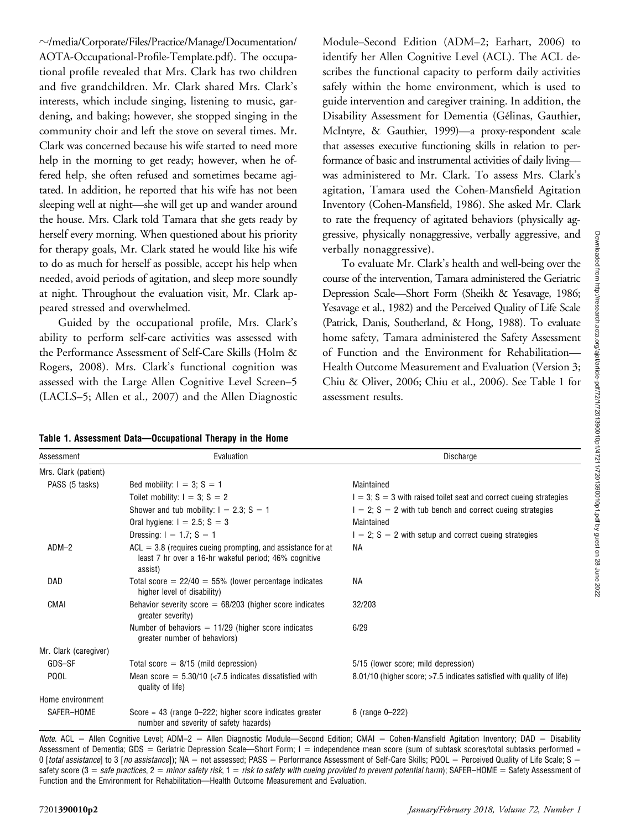$\sim$ [/media/Corporate/Files/Practice/Manage/Documentation/](https://www.aota.org/%7E/media/Corporate/Files/Practice/Manage/Documentation/AOTA-Occupational-Profile-Template.pdf) [AOTA-Occupational-Profile-Template.pdf\)](https://www.aota.org/%7E/media/Corporate/Files/Practice/Manage/Documentation/AOTA-Occupational-Profile-Template.pdf). The occupational profile revealed that Mrs. Clark has two children and five grandchildren. Mr. Clark shared Mrs. Clark's interests, which include singing, listening to music, gardening, and baking; however, she stopped singing in the community choir and left the stove on several times. Mr. Clark was concerned because his wife started to need more help in the morning to get ready; however, when he offered help, she often refused and sometimes became agitated. In addition, he reported that his wife has not been sleeping well at night—she will get up and wander around the house. Mrs. Clark told Tamara that she gets ready by herself every morning. When questioned about his priority for therapy goals, Mr. Clark stated he would like his wife to do as much for herself as possible, accept his help when needed, avoid periods of agitation, and sleep more soundly at night. Throughout the evaluation visit, Mr. Clark appeared stressed and overwhelmed.

Guided by the occupational profile, Mrs. Clark's ability to perform self-care activities was assessed with the Performance Assessment of Self-Care Skills (Holm & Rogers, 2008). Mrs. Clark's functional cognition was assessed with the Large Allen Cognitive Level Screen–5 (LACLS–5; Allen et al., 2007) and the Allen Diagnostic

| Module-Second Edition (ADM-2; Earhart, 2006) to                |
|----------------------------------------------------------------|
| identify her Allen Cognitive Level (ACL). The ACL de-          |
| scribes the functional capacity to perform daily activities    |
| safely within the home environment, which is used to           |
| guide intervention and caregiver training. In addition, the    |
| Disability Assessment for Dementia (Gélinas, Gauthier,         |
| McIntyre, & Gauthier, 1999)-a proxy-respondent scale           |
| that assesses executive functioning skills in relation to per- |
| formance of basic and instrumental activities of daily living- |
| was administered to Mr. Clark. To assess Mrs. Clark's          |
| agitation, Tamara used the Cohen-Mansfield Agitation           |
| Inventory (Cohen-Mansfield, 1986). She asked Mr. Clark         |
| to rate the frequency of agitated behaviors (physically ag-    |
| gressive, physically nonaggressive, verbally aggressive, and   |
| verbally nonaggressive).                                       |

To evaluate Mr. Clark's health and well-being over the course of the intervention, Tamara administered the Geriatric Depression Scale—Short Form (Sheikh & Yesavage, 1986; Yesavage et al., 1982) and the Perceived Quality of Life Scale (Patrick, Danis, Southerland, & Hong, 1988). To evaluate home safety, Tamara administered the Safety Assessment of Function and the Environment for Rehabilitation— Health Outcome Measurement and Evaluation (Version 3; Chiu & Oliver, 2006; Chiu et al., 2006). See Table 1 for assessment results.

| Assessment            | Evaluation                                                                                                                        | Discharge                                                             |
|-----------------------|-----------------------------------------------------------------------------------------------------------------------------------|-----------------------------------------------------------------------|
| Mrs. Clark (patient)  |                                                                                                                                   |                                                                       |
| PASS (5 tasks)        | Bed mobility: $I = 3$ ; $S = 1$                                                                                                   | Maintained                                                            |
|                       | Toilet mobility: $I = 3$ ; $S = 2$                                                                                                | $I = 3$ ; S = 3 with raised toilet seat and correct cueing strategies |
|                       | Shower and tub mobility: $I = 2.3$ ; S = 1                                                                                        | $I = 2$ ; S = 2 with tub bench and correct cueing strategies          |
|                       | Oral hygiene: $I = 2.5$ ; $S = 3$                                                                                                 | Maintained                                                            |
|                       | Dressing: $I = 1.7$ ; S = 1                                                                                                       | $1 = 2$ ; S = 2 with setup and correct cueing strategies              |
| $ADM-2$               | $ACL = 3.8$ (requires cueing prompting, and assistance for at<br>least 7 hr over a 16-hr wakeful period; 46% cognitive<br>assist) | ΝA                                                                    |
| DAD                   | Total score $= 22/40 = 55\%$ (lower percentage indicates<br>higher level of disability)                                           | <b>NA</b>                                                             |
| CMAI                  | Behavior severity score $= 68/203$ (higher score indicates<br>greater severity)                                                   | 32/203                                                                |
|                       | Number of behaviors $= 11/29$ (higher score indicates<br>greater number of behaviors)                                             | 6/29                                                                  |
| Mr. Clark (caregiver) |                                                                                                                                   |                                                                       |
| GDS-SF                | Total score $= 8/15$ (mild depression)                                                                                            | 5/15 (lower score; mild depression)                                   |
| <b>PQOL</b>           | Mean score $= 5.30/10$ (<7.5 indicates dissatisfied with<br>quality of life)                                                      | 8.01/10 (higher score; >7.5 indicates satisfied with quality of life) |
| Home environment      |                                                                                                                                   |                                                                       |
| SAFER-HOME            | Score = $43$ (range 0-222; higher score indicates greater<br>number and severity of safety hazards)                               | 6 (range 0-222)                                                       |

Table 1. Assessment Data—Occupational Therapy in the Home

Note. ACL = Allen Cognitive Level; ADM-2 = Allen Diagnostic Module—Second Edition; CMAI = Cohen-Mansfield Agitation Inventory; DAD = Disability Assessment of Dementia; GDS = Geriatric Depression Scale—Short Form; I = independence mean score (sum of subtask scores/total subtasks performed = 0 [total assistance] to 3 [no assistance]); NA = not assessed; PASS = Performance Assessment of Self-Care Skills; PQOL = Perceived Quality of Life Scale; S = safety score  $(3 = \text{safe practices}, 2 = \text{minor safety risk}, 1 = \text{risk to safety with cueing provided to prevent potential harm};$  SAFER–HOME = Safety Assessment of Function and the Environment for Rehabilitation—Health Outcome Measurement and Evaluation.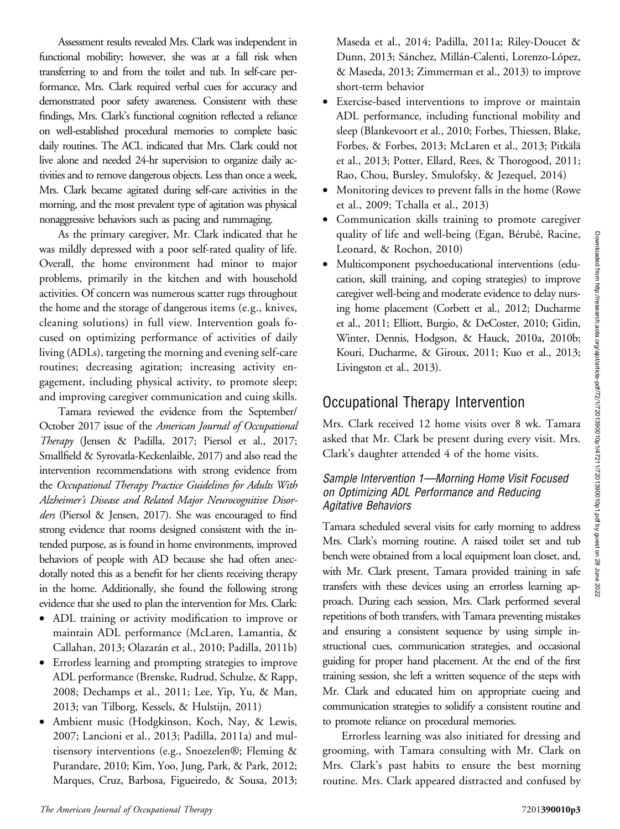Assessment results revealed Mrs. Clark was independent in functional mobility; however, she was at a fall risk when transferring to and from the toilet and tub. In self-care performance, Mrs. Clark required verbal cues for accuracy and demonstrated poor safety awareness. Consistent with these findings, Mrs. Clark's functional cognition reflected a reliance on well-established procedural memories to complete basic daily routines. The ACL indicated that Mrs. Clark could not live alone and needed 24-hr supervision to organize daily activities and to remove dangerous objects. Less than once a week, Mrs. Clark became agitated during self-care activities in the morning, and the most prevalent type of agitation was physical nonaggressive behaviors such as pacing and rummaging.

As the primary caregiver, Mr. Clark indicated that he was mildly depressed with a poor self-rated quality of life. Overall, the home environment had minor to major problems, primarily in the kitchen and with household activities. Of concern was numerous scatter rugs throughout the home and the storage of dangerous items (e.g., knives, cleaning solutions) in full view. Intervention goals focused on optimizing performance of activities of daily living (ADLs), targeting the morning and evening self-care routines; decreasing agitation; increasing activity engagement, including physical activity, to promote sleep; and improving caregiver communication and cuing skills.

Tamara reviewed the evidence from the September/ October 2017 issue of the American Journal of Occupational Therapy (Jensen & Padilla, 2017; Piersol et al., 2017; Smallfield & Syrovatla-Keckenlaible, 2017) and also read the intervention recommendations with strong evidence from the Occupational Therapy Practice Guidelines for Adults With Alzheimer's Disease and Related Major Neurocognitive Disorders (Piersol & Jensen, 2017). She was encouraged to find strong evidence that rooms designed consistent with the intended purpose, as is found in home environments, improved behaviors of people with AD because she had often anecdotally noted this as a benefit for her clients receiving therapy in the home. Additionally, she found the following strong evidence that she used to plan the intervention for Mrs. Clark:

- ADL training or activity modification to improve or maintain ADL performance (McLaren, Lamantia, & Callahan, 2013; Olazarán et al., 2010; Padilla, 2011b)
- Errorless learning and prompting strategies to improve ADL performance (Brenske, Rudrud, Schulze, & Rapp, 2008; Dechamps et al., 2011; Lee, Yip, Yu, & Man, 2013; van Tilborg, Kessels, & Hulstijn, 2011)
- Ambient music (Hodgkinson, Koch, Nay, & Lewis, 2007; Lancioni et al., 2013; Padilla, 2011a) and multisensory interventions (e.g., Snoezelen®; Fleming & Purandare, 2010; Kim, Yoo, Jung, Park, & Park, 2012; Marques, Cruz, Barbosa, Figueiredo, & Sousa, 2013;

Maseda et al., 2014; Padilla, 2011a; Riley-Doucet & Dunn, 2013; Sánchez, Millán-Calenti, Lorenzo-López, & Maseda, 2013; Zimmerman et al., 2013) to improve short-term behavior

- Exercise-based interventions to improve or maintain ADL performance, including functional mobility and sleep (Blankevoort et al., 2010; Forbes, Thiessen, Blake, Forbes, & Forbes, 2013; McLaren et al., 2013; Pitkälä et al., 2013; Potter, Ellard, Rees, & Thorogood, 2011; Rao, Chou, Bursley, Smulofsky, & Jezequel, 2014)
- Monitoring devices to prevent falls in the home (Rowe et al., 2009; Tchalla et al., 2013)
- Communication skills training to promote caregiver quality of life and well-being (Egan, Bérubé, Racine, Leonard, & Rochon, 2010)
- Multicomponent psychoeducational interventions (education, skill training, and coping strategies) to improve caregiver well-being and moderate evidence to delay nursing home placement (Corbett et al., 2012; Ducharme et al., 2011; Elliott, Burgio, & DeCoster, 2010; Gitlin, Winter, Dennis, Hodgson, & Hauck, 2010a, 2010b; Kouri, Ducharme, & Giroux, 2011; Kuo et al., 2013; Livingston et al., 2013).

### Occupational Therapy Intervention

Mrs. Clark received 12 home visits over 8 wk. Tamara asked that Mr. Clark be present during every visit. Mrs. Clark's daughter attended 4 of the home visits.

#### Sample Intervention 1—Morning Home Visit Focused on Optimizing ADL Performance and Reducing Agitative Behaviors

Tamara scheduled several visits for early morning to address Mrs. Clark's morning routine. A raised toilet set and tub bench were obtained from a local equipment loan closet, and, with Mr. Clark present, Tamara provided training in safe transfers with these devices using an errorless learning approach. During each session, Mrs. Clark performed several repetitions of both transfers, with Tamara preventing mistakes and ensuring a consistent sequence by using simple instructional cues, communication strategies, and occasional guiding for proper hand placement. At the end of the first training session, she left a written sequence of the steps with Mr. Clark and educated him on appropriate cueing and communication strategies to solidify a consistent routine and to promote reliance on procedural memories.

Errorless learning was also initiated for dressing and grooming, with Tamara consulting with Mr. Clark on Mrs. Clark's past habits to ensure the best morning routine. Mrs. Clark appeared distracted and confused by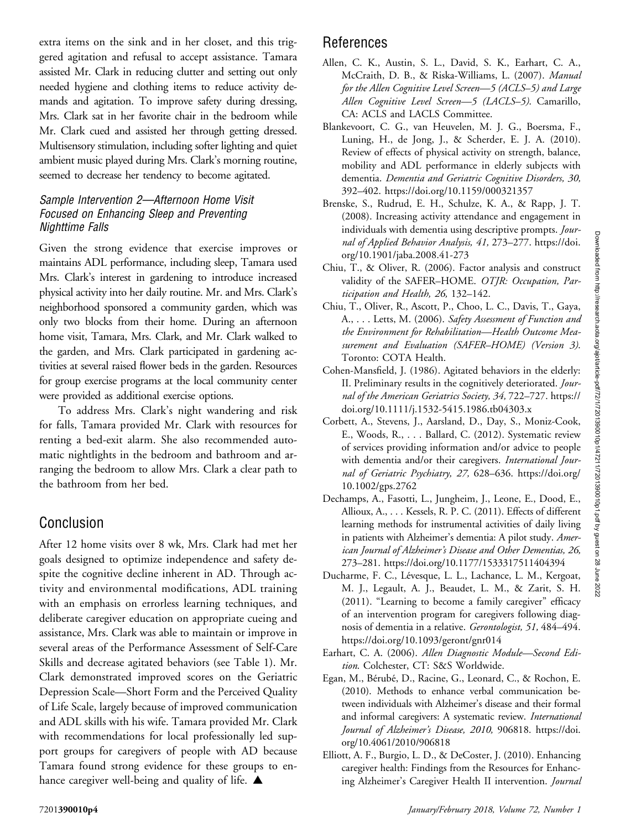extra items on the sink and in her closet, and this triggered agitation and refusal to accept assistance. Tamara assisted Mr. Clark in reducing clutter and setting out only needed hygiene and clothing items to reduce activity demands and agitation. To improve safety during dressing, Mrs. Clark sat in her favorite chair in the bedroom while Mr. Clark cued and assisted her through getting dressed. Multisensory stimulation, including softer lighting and quiet ambient music played during Mrs. Clark's morning routine, seemed to decrease her tendency to become agitated.

#### Sample Intervention 2—Afternoon Home Visit Focused on Enhancing Sleep and Preventing Nighttime Falls

Given the strong evidence that exercise improves or maintains ADL performance, including sleep, Tamara used Mrs. Clark's interest in gardening to introduce increased physical activity into her daily routine. Mr. and Mrs. Clark's neighborhood sponsored a community garden, which was only two blocks from their home. During an afternoon home visit, Tamara, Mrs. Clark, and Mr. Clark walked to the garden, and Mrs. Clark participated in gardening activities at several raised flower beds in the garden. Resources for group exercise programs at the local community center were provided as additional exercise options.

To address Mrs. Clark's night wandering and risk for falls, Tamara provided Mr. Clark with resources for renting a bed-exit alarm. She also recommended automatic nightlights in the bedroom and bathroom and arranging the bedroom to allow Mrs. Clark a clear path to the bathroom from her bed.

#### Conclusion

After 12 home visits over 8 wk, Mrs. Clark had met her goals designed to optimize independence and safety despite the cognitive decline inherent in AD. Through activity and environmental modifications, ADL training with an emphasis on errorless learning techniques, and deliberate caregiver education on appropriate cueing and assistance, Mrs. Clark was able to maintain or improve in several areas of the Performance Assessment of Self-Care Skills and decrease agitated behaviors (see Table 1). Mr. Clark demonstrated improved scores on the Geriatric Depression Scale—Short Form and the Perceived Quality of Life Scale, largely because of improved communication and ADL skills with his wife. Tamara provided Mr. Clark with recommendations for local professionally led support groups for caregivers of people with AD because Tamara found strong evidence for these groups to enhance caregiver well-being and quality of life.  $\blacktriangle$ 

### References

- Allen, C. K., Austin, S. L., David, S. K., Earhart, C. A., McCraith, D. B., & Riska-Williams, L. (2007). Manual for the Allen Cognitive Level Screen—5 (ACLS–5) and Large Allen Cognitive Level Screen—5 (LACLS–5). Camarillo, CA: ACLS and LACLS Committee.
- Blankevoort, C. G., van Heuvelen, M. J. G., Boersma, F., Luning, H., de Jong, J., & Scherder, E. J. A. (2010). Review of effects of physical activity on strength, balance, mobility and ADL performance in elderly subjects with dementia. Dementia and Geriatric Cognitive Disorders, 30, 392–402.<https://doi.org/10.1159/000321357>
- Brenske, S., Rudrud, E. H., Schulze, K. A., & Rapp, J. T. (2008). Increasing activity attendance and engagement in individuals with dementia using descriptive prompts. Journal of Applied Behavior Analysis, 41, 273–277. [https://doi.](https://doi.org/10.1901/jaba.2008.41-273) [org/10.1901/jaba.2008.41-273](https://doi.org/10.1901/jaba.2008.41-273)
- Chiu, T., & Oliver, R. (2006). Factor analysis and construct validity of the SAFER-HOME. OTJR: Occupation, Participation and Health, 26, 132–142.
- Chiu, T., Oliver, R., Ascott, P., Choo, L. C., Davis, T., Gaya, A., . . . Letts, M. (2006). Safety Assessment of Function and the Environment for Rehabilitation—Health Outcome Measurement and Evaluation (SAFER–HOME) (Version 3). Toronto: COTA Health.
- Cohen-Mansfield, J. (1986). Agitated behaviors in the elderly: II. Preliminary results in the cognitively deteriorated. Journal of the American Geriatrics Society, 34, 722–727. [https://](https://doi.org/10.1111/j.1532-5415.1986.tb04303.x) [doi.org/10.1111/j.1532-5415.1986.tb04303.x](https://doi.org/10.1111/j.1532-5415.1986.tb04303.x)
- Corbett, A., Stevens, J., Aarsland, D., Day, S., Moniz-Cook, E., Woods, R., . . . Ballard, C. (2012). Systematic review of services providing information and/or advice to people with dementia and/or their caregivers. International Journal of Geriatric Psychiatry, 27, 628–636. [https://doi.org/](https://doi.org/10.1002/gps.2762) [10.1002/gps.2762](https://doi.org/10.1002/gps.2762)
- Dechamps, A., Fasotti, L., Jungheim, J., Leone, E., Dood, E., Allioux, A., . . . Kessels, R. P. C. (2011). Effects of different learning methods for instrumental activities of daily living in patients with Alzheimer's dementia: A pilot study. American Journal of Alzheimer's Disease and Other Dementias, 26, 273–281.<https://doi.org/10.1177/1533317511404394>
- Ducharme, F. C., Lévesque, L. L., Lachance, L. M., Kergoat, M. J., Legault, A. J., Beaudet, L. M., & Zarit, S. H. (2011). "Learning to become a family caregiver" efficacy of an intervention program for caregivers following diagnosis of dementia in a relative. Gerontologist, 51, 484–494. <https://doi.org/10.1093/geront/gnr014>
- Earhart, C. A. (2006). Allen Diagnostic Module—Second Edition. Colchester, CT: S&S Worldwide.
- Egan, M., Bérubé, D., Racine, G., Leonard, C., & Rochon, E. (2010). Methods to enhance verbal communication between individuals with Alzheimer's disease and their formal and informal caregivers: A systematic review. International Journal of Alzheimer's Disease, 2010, 906818. [https://doi.](https://doi.org/10.4061/2010/906818) [org/10.4061/2010/906818](https://doi.org/10.4061/2010/906818)
- Elliott, A. F., Burgio, L. D., & DeCoster, J. (2010). Enhancing caregiver health: Findings from the Resources for Enhancing Alzheimer's Caregiver Health II intervention. Journal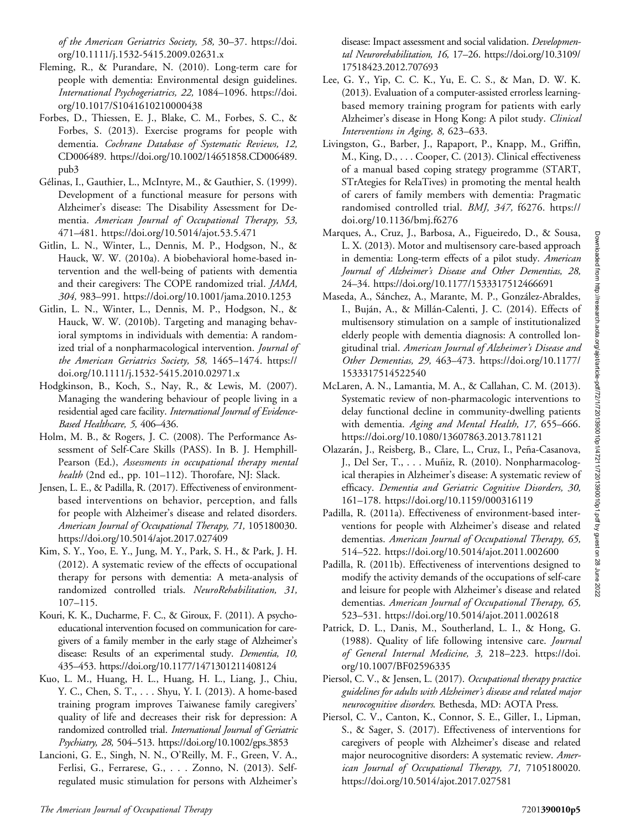of the American Geriatrics Society, 58, 30–37. [https://doi.](https://doi.org/10.1111/j.1532-5415.2009.02631.x) [org/10.1111/j.1532-5415.2009.02631.x](https://doi.org/10.1111/j.1532-5415.2009.02631.x)

- Fleming, R., & Purandare, N. (2010). Long-term care for people with dementia: Environmental design guidelines. International Psychogeriatrics, 22, 1084–1096. [https://doi.](https://doi.org/10.1017/S1041610210000438) [org/10.1017/S1041610210000438](https://doi.org/10.1017/S1041610210000438)
- Forbes, D., Thiessen, E. J., Blake, C. M., Forbes, S. C., & Forbes, S. (2013). Exercise programs for people with dementia. Cochrane Database of Systematic Reviews, 12, CD006489. [https://doi.org/10.1002/14651858.CD006489.](https://doi.org/10.1002/14651858.CD006489.pub3) [pub3](https://doi.org/10.1002/14651858.CD006489.pub3)
- Gélinas, I., Gauthier, L., McIntyre, M., & Gauthier, S. (1999). Development of a functional measure for persons with Alzheimer's disease: The Disability Assessment for Dementia. American Journal of Occupational Therapy, 53, 471–481.<https://doi.org/10.5014/ajot.53.5.471>
- Gitlin, L. N., Winter, L., Dennis, M. P., Hodgson, N., & Hauck, W. W. (2010a). A biobehavioral home-based intervention and the well-being of patients with dementia and their caregivers: The COPE randomized trial. JAMA, 304, 983–991.<https://doi.org/10.1001/jama.2010.1253>
- Gitlin, L. N., Winter, L., Dennis, M. P., Hodgson, N., & Hauck, W. W. (2010b). Targeting and managing behavioral symptoms in individuals with dementia: A randomized trial of a nonpharmacological intervention. *Journal of* the American Geriatrics Society, 58, 1465–1474. [https://](https://doi.org/10.1111/j.1532-5415.2010.02971.x) [doi.org/10.1111/j.1532-5415.2010.02971.x](https://doi.org/10.1111/j.1532-5415.2010.02971.x)
- Hodgkinson, B., Koch, S., Nay, R., & Lewis, M. (2007). Managing the wandering behaviour of people living in a residential aged care facility. International Journal of Evidence-Based Healthcare, 5, 406–436.
- Holm, M. B., & Rogers, J. C. (2008). The Performance Assessment of Self-Care Skills (PASS). In B. J. Hemphill-Pearson (Ed.), Assessments in occupational therapy mental health (2nd ed., pp. 101–112). Thorofare, NJ: Slack.
- Jensen, L. E., & Padilla, R. (2017). Effectiveness of environmentbased interventions on behavior, perception, and falls for people with Alzheimer's disease and related disorders. American Journal of Occupational Therapy, 71, 105180030. <https://doi.org/10.5014/ajot.2017.027409>
- Kim, S. Y., Yoo, E. Y., Jung, M. Y., Park, S. H., & Park, J. H. (2012). A systematic review of the effects of occupational therapy for persons with dementia: A meta-analysis of randomized controlled trials. NeuroRehabilitation, 31, 107–115.
- Kouri, K. K., Ducharme, F. C., & Giroux, F. (2011). A psychoeducational intervention focused on communication for caregivers of a family member in the early stage of Alzheimer's disease: Results of an experimental study. Dementia, 10, 435–453.<https://doi.org/10.1177/1471301211408124>
- Kuo, L. M., Huang, H. L., Huang, H. L., Liang, J., Chiu, Y. C., Chen, S. T., . . . Shyu, Y. I. (2013). A home-based training program improves Taiwanese family caregivers' quality of life and decreases their risk for depression: A randomized controlled trial. International Journal of Geriatric Psychiatry, 28, 504–513.<https://doi.org/10.1002/gps.3853>
- Lancioni, G. E., Singh, N. N., O'Reilly, M. F., Green, V. A., Ferlisi, G., Ferrarese, G., . . . Zonno, N. (2013). Selfregulated music stimulation for persons with Alzheimer's

disease: Impact assessment and social validation. Developmental Neurorehabilitation, 16, 17–26. [https://doi.org/10.3109/](https://doi.org/10.3109/17518423.2012.707693) [17518423.2012.707693](https://doi.org/10.3109/17518423.2012.707693)

- Lee, G. Y., Yip, C. C. K., Yu, E. C. S., & Man, D. W. K. (2013). Evaluation of a computer-assisted errorless learningbased memory training program for patients with early Alzheimer's disease in Hong Kong: A pilot study. Clinical Interventions in Aging, 8, 623–633.
- Livingston, G., Barber, J., Rapaport, P., Knapp, M., Griffin, M., King, D., . . . Cooper, C. (2013). Clinical effectiveness of a manual based coping strategy programme (START, STrAtegies for RelaTives) in promoting the mental health of carers of family members with dementia: Pragmatic randomised controlled trial. BMJ, 347, f6276. [https://](https://doi.org/10.1136/bmj.f6276) [doi.org/10.1136/bmj.f6276](https://doi.org/10.1136/bmj.f6276)
- Marques, A., Cruz, J., Barbosa, A., Figueiredo, D., & Sousa, L. X. (2013). Motor and multisensory care-based approach in dementia: Long-term effects of a pilot study. American Journal of Alzheimer's Disease and Other Dementias, 28, 24–34.<https://doi.org/10.1177/1533317512466691>
- Maseda, A., Sánchez, A., Marante, M. P., González-Abraldes, I., Buján, A., & Millán-Calenti, J. C. (2014). Effects of multisensory stimulation on a sample of institutionalized elderly people with dementia diagnosis: A controlled longitudinal trial. American Journal of Alzheimer's Disease and Other Dementias, 29, 463–473. [https://doi.org/10.1177/](https://doi.org/10.1177/1533317514522540) [1533317514522540](https://doi.org/10.1177/1533317514522540)
- McLaren, A. N., Lamantia, M. A., & Callahan, C. M. (2013). Systematic review of non-pharmacologic interventions to delay functional decline in community-dwelling patients with dementia. Aging and Mental Health, 17, 655–666. <https://doi.org/10.1080/13607863.2013.781121>
- Olazarán, J., Reisberg, B., Clare, L., Cruz, I., Peña-Casanova, J., Del Ser, T., . . . Muñiz, R. (2010). Nonpharmacological therapies in Alzheimer's disease: A systematic review of efficacy. Dementia and Geriatric Cognitive Disorders, 30, 161–178.<https://doi.org/10.1159/000316119>
- Padilla, R. (2011a). Effectiveness of environment-based interventions for people with Alzheimer's disease and related dementias. American Journal of Occupational Therapy, 65, 514–522.<https://doi.org/10.5014/ajot.2011.002600>
- Padilla, R. (2011b). Effectiveness of interventions designed to modify the activity demands of the occupations of self-care and leisure for people with Alzheimer's disease and related dementias. American Journal of Occupational Therapy, 65, 523–531.<https://doi.org/10.5014/ajot.2011.002618>
- Patrick, D. L., Danis, M., Southerland, L. I., & Hong, G. (1988). Quality of life following intensive care. Journal of General Internal Medicine, 3, 218–223. [https://doi.](https://doi.org/10.1007/BF02596335) [org/10.1007/BF02596335](https://doi.org/10.1007/BF02596335)
- Piersol, C. V., & Jensen, L. (2017). Occupational therapy practice guidelines for adults with Alzheimer's disease and related major neurocognitive disorders. Bethesda, MD: AOTA Press.
- Piersol, C. V., Canton, K., Connor, S. E., Giller, I., Lipman, S., & Sager, S. (2017). Effectiveness of interventions for caregivers of people with Alzheimer's disease and related major neurocognitive disorders: A systematic review. American Journal of Occupational Therapy, 71, 7105180020. <https://doi.org/10.5014/ajot.2017.027581>